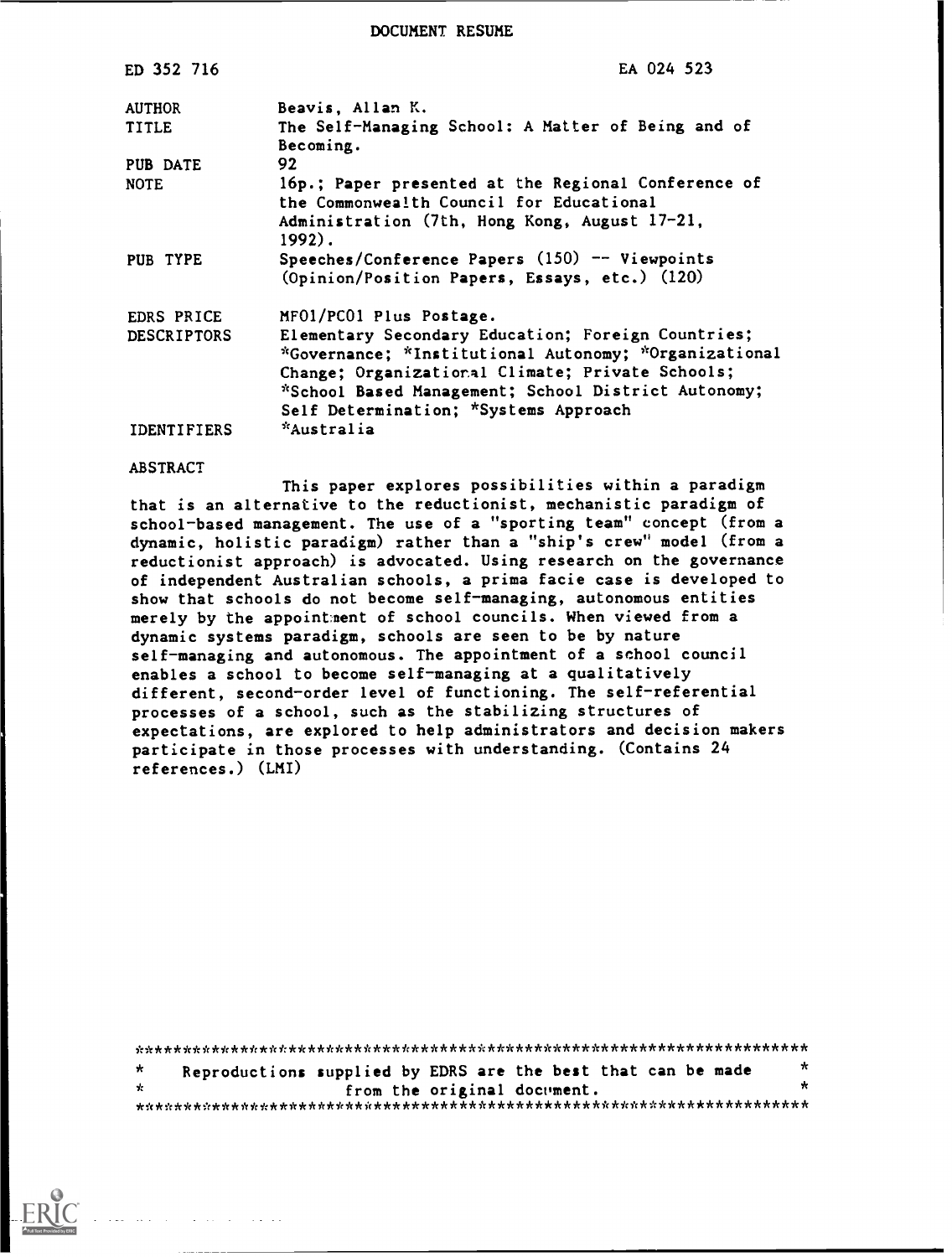DOCUMENT RESUME

| ED 352 716         | EA 024 523                                                                                                                                                                                                                                                      |
|--------------------|-----------------------------------------------------------------------------------------------------------------------------------------------------------------------------------------------------------------------------------------------------------------|
| <b>AUTHOR</b>      | Beavis, Allan K.                                                                                                                                                                                                                                                |
| <b>TITLE</b>       | The Self-Managing School: A Matter of Being and of<br>Becoming.                                                                                                                                                                                                 |
| PUB DATE           | 92                                                                                                                                                                                                                                                              |
| <b>NOTE</b>        | 16p.; Paper presented at the Regional Conference of<br>the Commonwealth Council for Educational<br>Administration (7th, Hong Kong, August 17-21,<br>1992).                                                                                                      |
| PUB TYPE           | Speeches/Conference Papers (150) -- Viewpoints<br>(Opinion/Position Papers, Essays, etc.) (120)                                                                                                                                                                 |
| EDRS PRICE         | MF01/PC01 Plus Postage.                                                                                                                                                                                                                                         |
| <b>DESCRIPTORS</b> | Elementary Secondary Education; Foreign Countries;<br>*Governance; *Institutional Autonomy; *Organizational<br>Change; Organizational Climate; Private Schools;<br>*School Based Management; School District Autonomy;<br>Self Determination; *Systems Approach |
| <b>IDENTIFIERS</b> | *Australia                                                                                                                                                                                                                                                      |

# **ABSTRACT**

This paper explores possibilities within a paradigm that is an alternative to the reductionist, mechanistic paradigm of school-based management. The use of a "sporting team" concept (from a dynamic, holistic paradigm) rather than a "ship's crew" model (from a reductionist approach) is advocated. Using research on the governance of independent Australian schools, a prima facie case is developed to show that schools do not become self-managing, autonomous entities merely by the appointment of school councils. When viewed from a dynamic systems paradigm, schools are seen to be by nature self-managing and autonomous. The appointment of a school council enables a school to become self-managing at a qualitatively different, second-order level of functioning. The self-referential processes of a school, such as the stabilizing structures of expectations, are explored to help administrators and decision makers participate in those processes with understanding. (Contains 24 references.) (LMI)

 $\star$ Reproductions supplied by EDRS are the best that can be made  $\star$  $\mathbf{q}_t$ from the original document. 

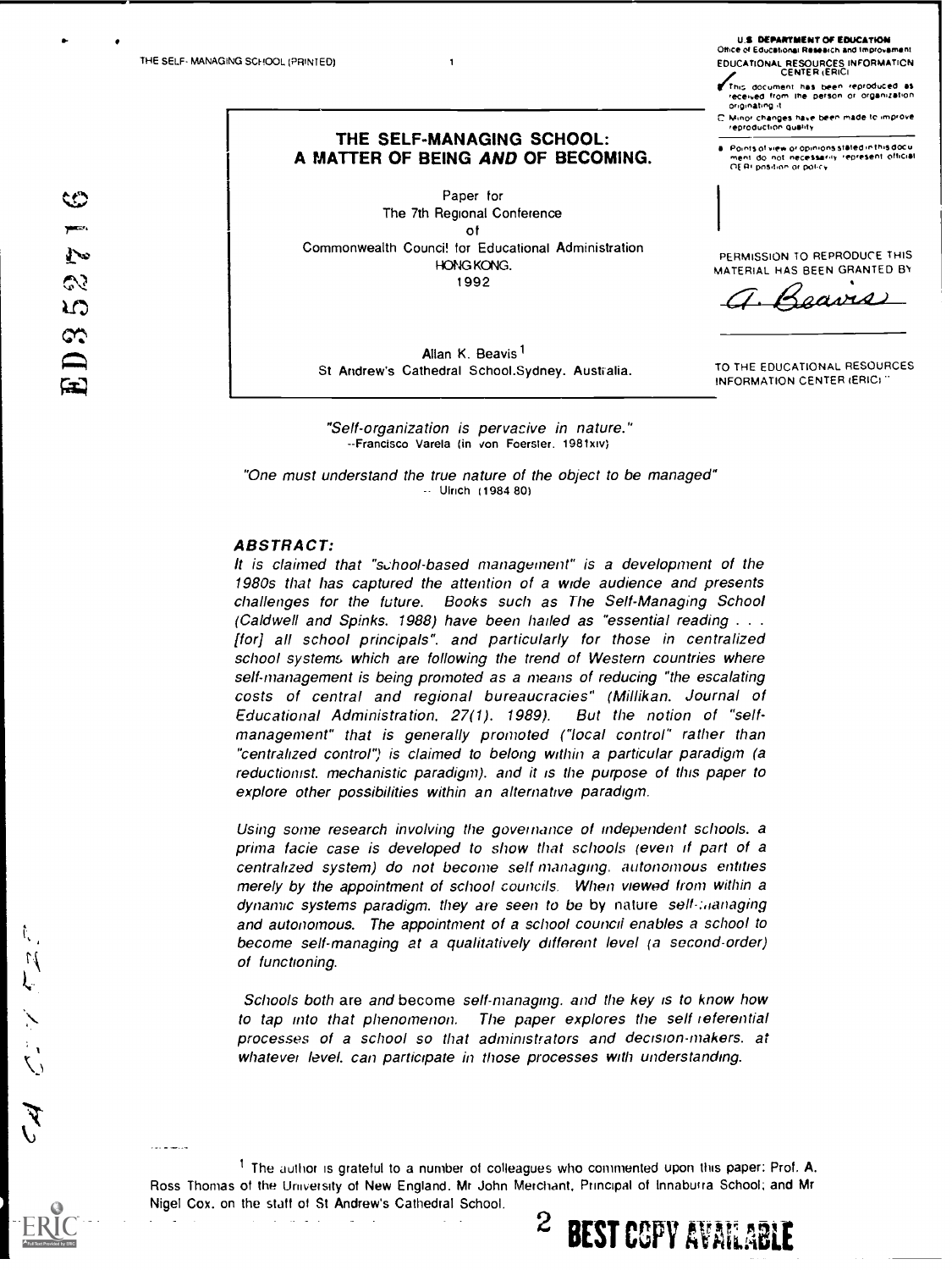THE SELF-MANAGING SCHOOL: A MATTER OF BEING AND OF BECOMING.

 $\mathbf{1}$ 

Paper for The 7th Regional Conference οf Commonwealth Counci! for Educational Administration HONG KONG. 1992

Allan K. Beavis<sup>1</sup> St Andrew's Cathedral School.Sydney. Australia.

"Self-organization is pervacive in nature." -- Francisco Varela (in von Foerster 1981xIV)

"One must understand the true nature of the object to be managed" -- Ulrich (1984 80)

### **ABSTRACT:**

It is claimed that "school-based management" is a development of the 1980s that has captured the attention of a wide audience and presents challenges for the future. Books such as The Self-Managing School (Caldwell and Spinks. 1988) have been hailed as "essential reading . . . [for] all school principals", and particularly for those in centralized school systems which are following the trend of Western countries where self-management is being promoted as a means of reducing "the escalating costs of central and regional bureaucracies" (Millikan. Journal of Educational Administration, 27(1). 1989). But the notion of "selfmanagement" that is generally promoted ("local control" rather than "centralized control") is claimed to belong within a particular paradigm (a reductionist. mechanistic paradigm). and it is the purpose of this paper to explore other possibilities within an alternative paradigm.

Using some research involving the governance of independent schools. a prima facie case is developed to show that schools (even if part of a centralized system) do not become self-managing. autonomous entities merely by the appointment of school councils. When viewed from within a dynamic systems paradigm, they are seen to be by nature sell-managing and autonomous. The appointment of a school council enables a school to become self-managing at a qualitatively different level (a second-order) of functioning.

Schools both are and become self-managing, and the key is to know how to tap into that phenomenon. The paper explores the self-referential processes of a school so that administrators and decision-makers. at whatever level, can participate in those processes with understanding.

<sup>1</sup> The author is grateful to a number of colleagues who commented upon this paper: Prof. A. Ross Thomas of the University of New England. Mr John Merchant, Principal of Innaburra School; and Mr Nigel Cox, on the staff of St Andrew's Cathedral School.

2

**BEST COPY AVAILABLE** 

**U.S. DEPARTMENT OF EDUCATION** Office of Educational Research and Im EDUCATIONAL RESOURCES INFORMATION

This document has been reproduced as received from the person or organization

C. Minor changes have been made to improve<br>reproduction quality

Points of view or opinions stated in this docu<br>ment: do inot: necessarily: represent: official<br>OE RI position or policy

PERMISSION TO REPRODUCE THIS MATERIAL HAS BEEN GRANTED BY

TO THE EDUCATIONAL RESOURCES INFORMATION CENTER (ERIC)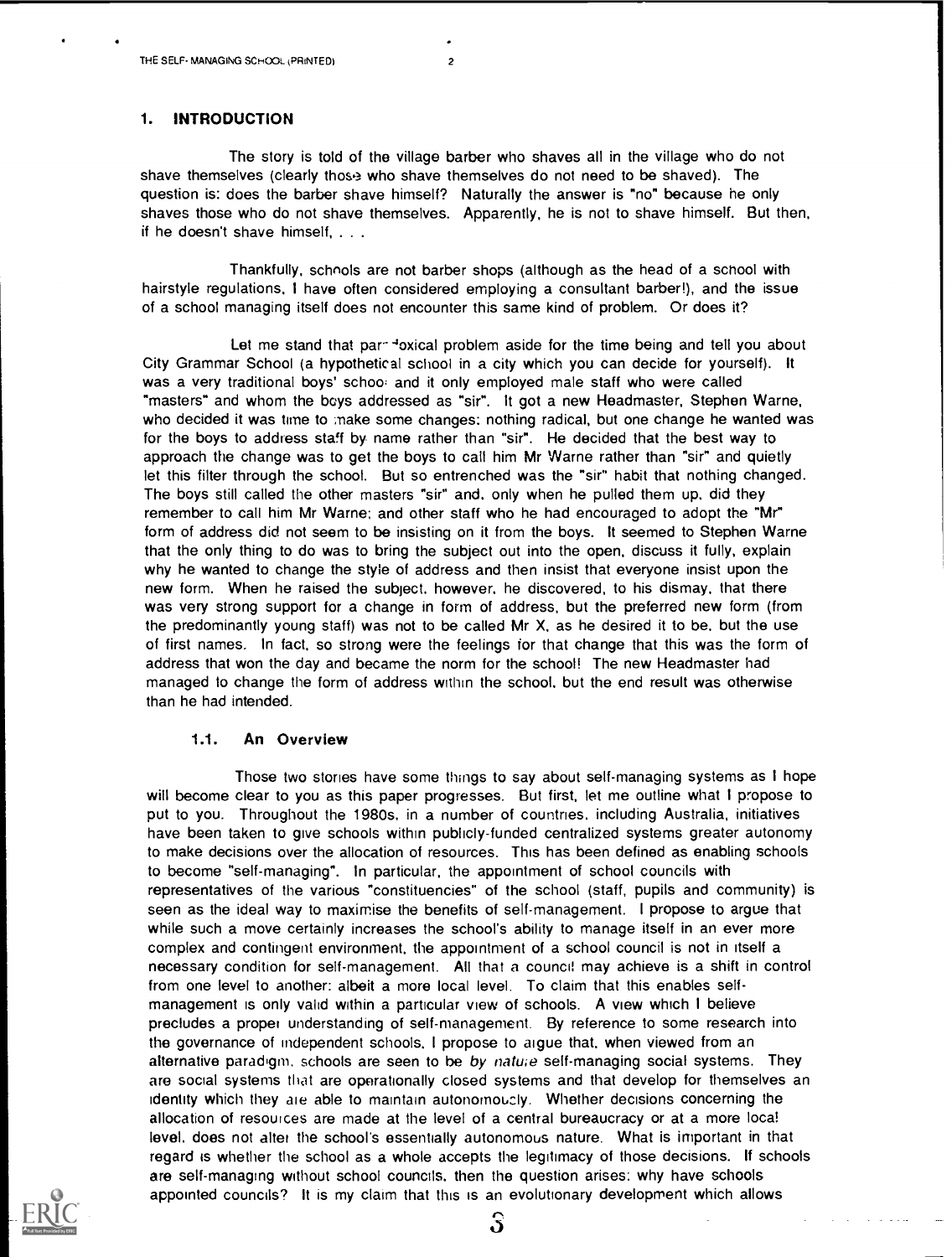# 1. INTRODUCTION

The story is told of the village barber who shaves all in the village who do not shave themselves (clearly thos.<sup>3</sup> who shave themselves do not need to be shaved). The question is: does the barber shave himself? Naturally the answer is "no" because he only shaves those who do not shave themselves. Apparently, he is not to shave himself. But then, if he doesn't shave himself, . . .

Thankfully, schnols are not barber shops (although as the head of a school with hairstyle regulations, I have often considered employing a consultant barber!), and the issue of a school managing itself does not encounter this same kind of problem. Or does it?

Let me stand that par- loxical problem aside for the time being and tell you about City Grammar School (a hypothetical school in a city which you can decide for yourself). It was a very traditional boys' schoo: and it only employed male staff who were called "masters" and whom the boys addressed as "sir". It got a new Headmaster, Stephen Warne, who decided it was time to make some changes: nothing radical, but one change he wanted was for the boys to address staff by name rather than "sir". He decided that the best way to approach the change was to get the boys to call him Mr Warne rather than "sir" and quietly let this filter through the school. But so entrenched was the "sir" habit that nothing changed. The boys still called the other masters "sir" and. only when he pulled them up. did they remember to call him Mr Warne; and other staff who he had encouraged to adopt the "Mr" form of address did not seem to be insisting on it from the boys. It seemed to Stephen Warne that the only thing to do was to bring the subject out into the open, discuss it fully, explain why he wanted to change the style of address and then insist that everyone insist upon the new form. When he raised the subject, however, he discovered, to his dismay, that there was very strong support for a change in form of address, but the preferred new form (from the predominantly young staff) was not to be called Mr X, as he desired it to be. but the use of first names. In fact, so strong were the feelings for that change that this was the form of address that won the day and became the norm for the school! The new Headmaster had managed to change the form of address within the school, but the end result was otherwise than he had intended.

### 1.1. An Overview

Those two stories have some things to say about self-managing systems as I hope will become clear to you as this paper progresses. But first, let me outline what I propose to put to you. Throughout the 1980s, in a number of countries, including Australia, initiatives have been taken to give schools within publicly-funded centralized systems greater autonomy to make decisions over the allocation of resources. This has been defined as enabling schools to become "self-managing". In particular, the appointment of school councils with representatives of the various "constituencies" of the school (staff, pupils and community) is seen as the ideal way to maximise the benefits of self-management. I propose to argue that while such a move certainly increases the school's ability to manage itself in an ever more complex and contingent environment, the appointment of a school council is not in itself a necessary condition for self-management. All that a council may achieve is a shift in control from one level to another: albeit a more local level. To claim that this enables selfmanagement is only valid within a particular view of schools. A view which I believe precludes a proper understanding of self-management. By reference to some research into the governance of independent schools, I propose to argue that, when viewed from an alternative paradigm, schools are seen to be by nature self-managing social systems. They are social systems that are operationally closed systems and that develop for themselves an identity which they ale able to maintain autonomoucly. Whether decisions concerning the allocation of resources are made at the level of a central bureaucracy or at a more local level, does not alter the school's essentially autonomous nature. What is important in that regard is whether the school as a whole accepts the legitimacy of those decisions. If schools are self-managing without school councils, then the question arises: why have schools appointed councils? It is my claim that this is an evolutionary development which allows



4.3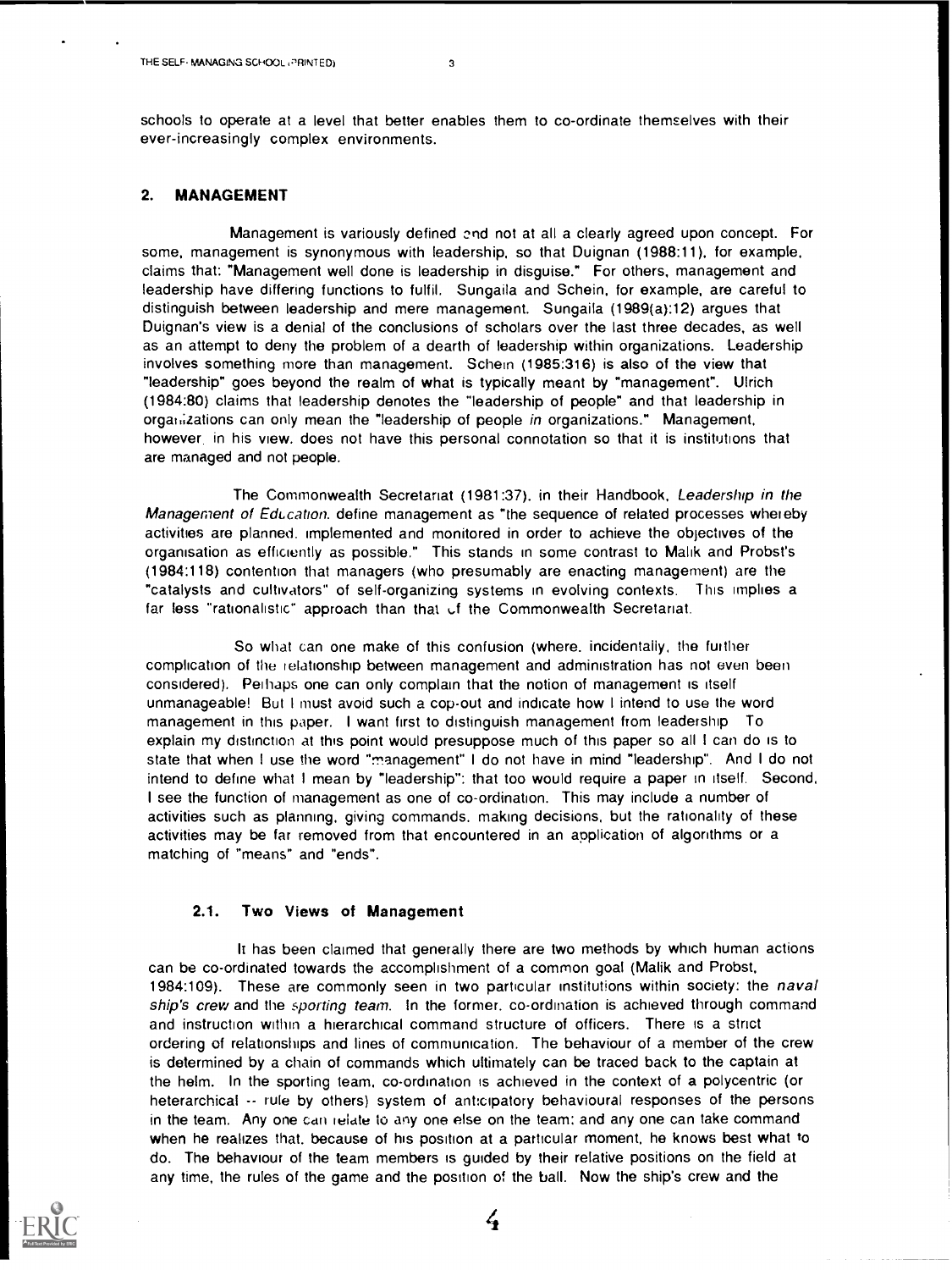schools to operate at a level that better enables them to co-ordinate themselves with their ever-increasingly complex environments.

## 2. MANAGEMENT

Management is variously defined and not at all a clearly agreed upon concept. For some, management is synonymous with leadership, so that Duignan (1988:11), for example, claims that: "Management well done is leadership in disguise." For others, management and leadership have differing functions to fulfil. Sungaila and Schein, for example, are careful to distinguish between leadership and mere management. Sungaila (1989(a):12) argues that Duignan's view is a denial of the conclusions of scholars over the last three decades, as well as an attempt to deny the problem of a dearth of leadership within organizations. Leadership involves something more than management. Schein (1985:316) is also of the view that "leadership" goes beyond the realm of what is typically meant by "management". Ulrich (1984:80) claims that leadership denotes the "leadership of people" and that leadership in organizations can only mean the "leadership of people in organizations." Management, however, in his view. does not have this personal connotation so that it is institutions that are managed and not people.

The Commonwealth Secretariat (1981:37). in their Handbook, Leadership in the Management of Education. define management as "the sequence of related processes whereby activities are planned. implemented and monitored in order to achieve the objectives of the organisation as efficiently as possible." This stands in some contrast to Malik and Probst's (1984:118) contention that managers (who presumably are enacting management) are the "catalysts and cultivators" of self-organizing systems in evolving contexts. This implies a far less "rationalistic" approach than that of the Commonwealth Secretariat.

So what can one make of this confusion (where, incidentally, the further complication of the relationship between management and administration has not even been considered). Perhaps one can only complain that the notion of management is itself unmanageable! But I must avoid such a cop-out and indicate how I intend to use the word management in this paper. I want first to distinguish management from leadership To explain my distinction at this point would presuppose much of this paper so all I can do is to state that when I use the word "management" I do not have in mind "leadership". And I do not intend to define what I mean by "leadership": that too would require a paper in itself. Second, I see the function of management as one of co-ordination. This may include a number of activities such as planning, giving commands, making decisions, but the rationality of these activities may be far removed from that encountered in an application of algorithms or a matching of "means" and "ends".

### 2.1. Two Views of Management

It has been claimed that generally there are two methods by which human actions can be co-ordinated towards the accomplishment of a common goal (Malik and Probst. 1984:109). These are commonly seen in two particular institutions within society: the naval ship's crew and the sporting team. In the former, co-ordination is achieved through command and instruction within a hierarchical command structure of officers. There is a strict ordering of relationships and lines of communication. The behaviour of a member of the crew is determined by a chain of commands which ultimately can be traced back to the captain at the helm. In the sporting team, co-ordination is achieved in the context of a polycentric (or heterarchical -- rule by others) system of anticipatory behavioural responses of the persons in the team. Any one can relate 10 any one else on the team: and any one can take command when he realizes that. because of his position at a particular moment, he knows best what to do. The behaviour of the team members is guided by their relative positions on the field at any time, the rules of the game and the position of the ball. Now the ship's crew and the



 $\frac{1}{4}$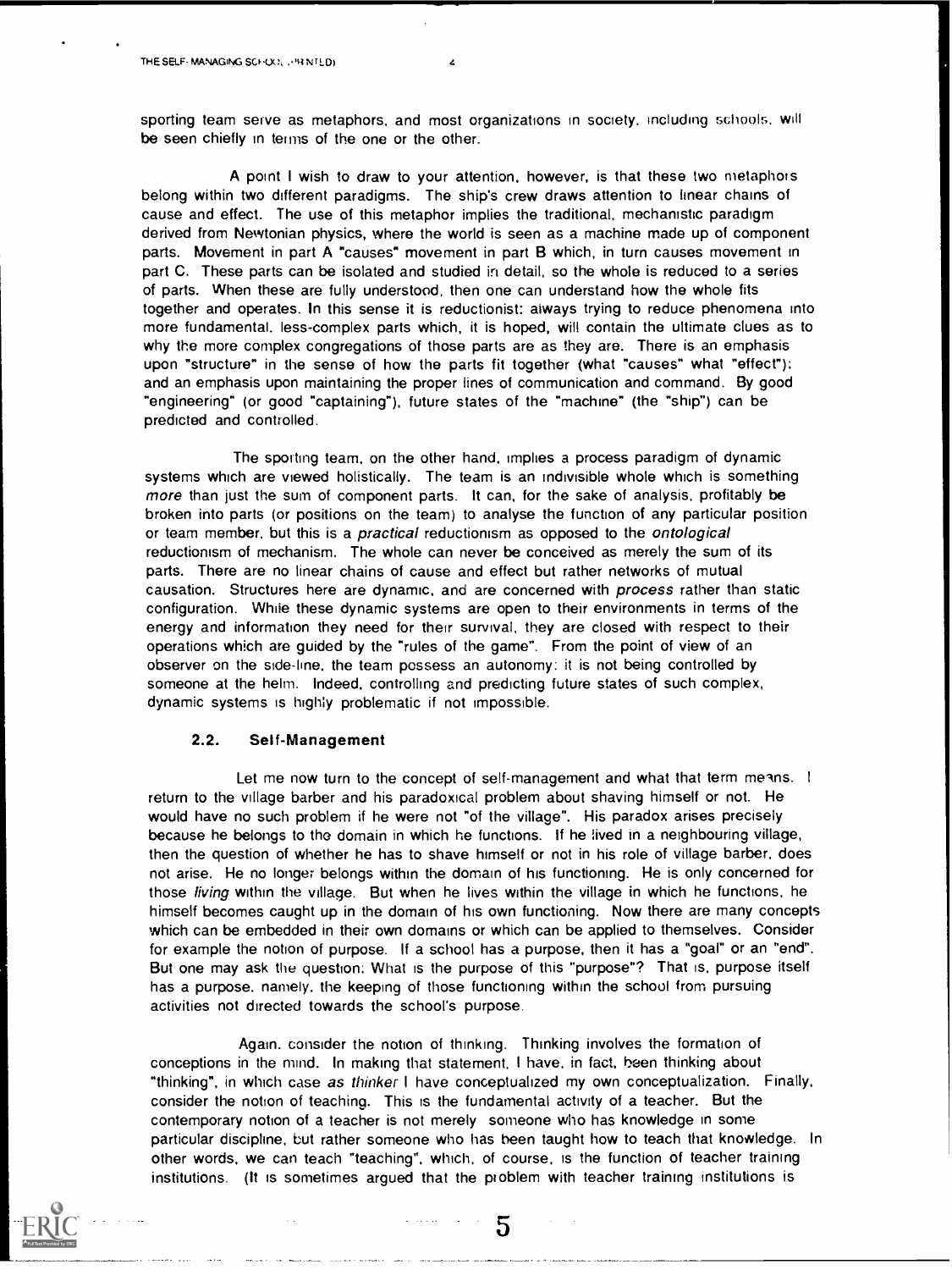sporting team serve as metaphors, and most organizations in society. including schools, will be seen chiefly in terms of the one or the other.

A point I wish to draw to your attention, however, is that these two metaphors belong within two different paradigms. The ship's crew draws attention to linear chains of cause and effect. The use of this metaphor implies the traditional, mechanistic paradigm derived from Newtonian physics, where the world is seen as a machine made up of component parts. Movement in part A "causes" movement in part B which, in turn causes movement in part C. These parts can be isolated and studied in detail, so the whole is reduced to a series of parts. When these are fully understood, then one can understand how the whole fits together and operates. In this sense it is reductionist: always trying to reduce phenomena into more fundamental, less-complex parts which, it is hoped, will contain the ultimate clues as to why the more complex congregations of those parts are as they are. There is an emphasis upon "structure" in the sense of how the parts fit together (what "causes" what "effect"): and an emphasis upon maintaining the proper lines of communication and command. By good "engineering" (or good "captaining"), future states of the "machine" (the "ship") can be predicted and controlled.

The sporting team, on the other hand, implies a process paradigm of dynamic systems which are viewed holistically. The team is an indivisible whole which is something more than just the sum of component parts. It can, for the sake of analysis, profitably be broken into parts (or positions on the team) to analyse the function of any particular position or team member, but this is a *practical* reductionism as opposed to the *ontological* reductionism of mechanism. The whole can never be conceived as merely the sum of its parts. There are no linear chains of cause and effect but rather networks of mutual causation. Structures here are dynamic, and are concerned with process rather than static configuration. While these dynamic systems are open to their environments in terms of the energy and information they need for their survival, they are closed with respect to their operations which are guided by the "rules of the game". From the point of view of an observer on the side -line, the team possess an autonomy: it is not being controlled by someone at the helm. Indeed. controlling and predicting future states of such complex, dynamic systems is highly problematic if not impossible.

#### 2.2. Self-Management

Let me now turn to the concept of self-management and what that term menns. I return to the village barber and his paradoxical problem about shaving himself or not. He would have no such problem if he were not "of the village". His paradox arises precisely because he belongs to the domain in which he functions. If he lived in a neighbouring village, then the question of whether he has to shave himself or not in his role of village barber, does not arise. He no longer belongs within the domain of his functioning. He is only concerned for those living within the village. But when he lives within the village in which he functions, he himself becomes caught up in the domain of his own functioning. Now there are many concepts which can be embedded in their own domains or which can be applied to themselves. Consider for example the notion of purpose. If a school has a purpose, then it has a "goal" or an "end". But one may ask the question: What is the purpose of this "purpose"? That is, purpose itself has a purpose, namely. the keeping of those functioning within the school from pursuing activities not directed towards the school's purpose.

Again. consider the notion of thinking. Thinking involves the formation of conceptions in the mind. In making that statement, I have, in fact, been thinking about "thinking", in which case as thinker I have conceptualized my own conceptualization. Finally, consider the notion of teaching. This is the fundamental activity of a teacher. But the contemporary notion of a teacher is not merely someone who has knowledge in some particular discipline, but rather someone who has been taught how to teach that knowledge. In other words, we can teach "teaching", which. of course, is the function of teacher training institutions. (It is sometimes argued that the problem with teacher training institutions is

5

 $\alpha$  , and  $\alpha$  are  $\beta$  . In the  $\beta$  -field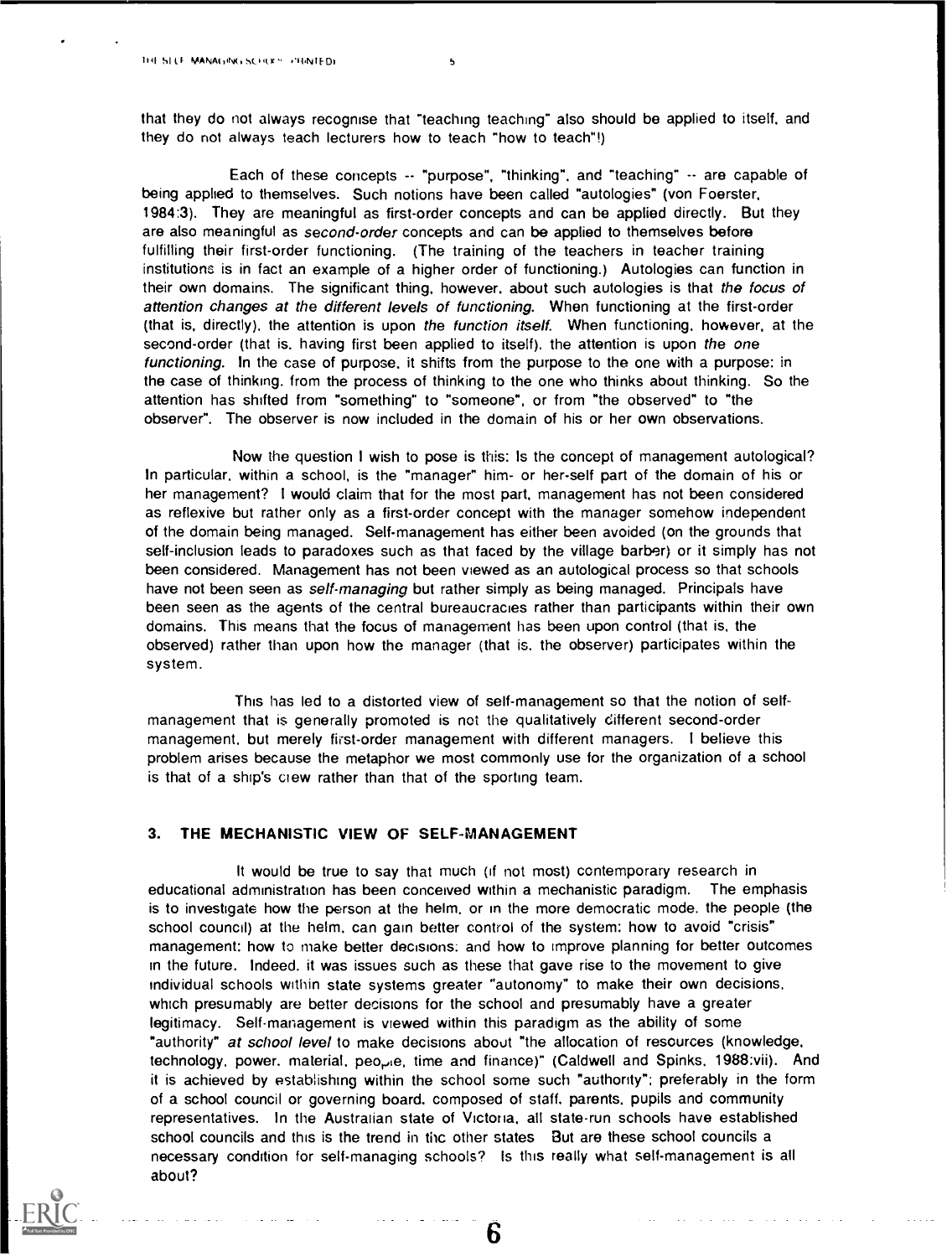that they do not always recognise that "teaching teaching" also should be applied to itself, and they do not always teach lecturers how to teach "how to teach"!)

Each of these concepts  $-$  "purpose", "thinking", and "teaching"  $-$  are capable of being applied to themselves. Such notions have been called "autologies" (von Foerster, 1984:3). They are meaningful as first-order concepts and can be applied directly. But they are also meaningful as second-order concepts and can be applied to themselves before fulfilling their first-order functioning. (The training of the teachers in teacher training institutions is in fact an example of a higher order of functioning.) Autologies can function in their own domains. The significant thing, however, about such autologies is that the focus of attention changes at the different levels of functioning. When functioning at the first-order (that is, directly), the attention is upon the function itself. When functioning, however, at the second-order (that is, having first been applied to itself), the attention is upon the one functioning. In the case of purpose, it shifts from the purpose to the one with a purpose: in the case of thinking. from the process of thinking to the one who thinks about thinking. So the attention has shifted from "something" to "someone", or from "the observed" to "the observer". The observer is now included in the domain of his or her own observations.

Now the question I wish to pose is this: Is the concept of management autological? In particular, within a school, is the "manager" him- or her-self part of the domain of his or her management? I would claim that for the most part, management has not been considered as reflexive but rather only as a first-order concept with the manager somehow independent of the domain being managed. Self-management has either been avoided (on the grounds that self-inclusion leads to paradoxes such as that faced by the village barber) or it simply has not been considered. Management has not been viewed as an autological process so that schools have not been seen as self-managing but rather simply as being managed. Principals have been seen as the agents of the central bureaucracies rather than participants within their own domains. This means that the focus of management has been upon control (that is. the observed) rather than upon how the manager (that is. the observer) participates within the system.

This has led to a distorted view of self-management so that the notion of selfmanagement that is generally promoted is not the qualitatively different second-order management, but merely first-order management with different managers. I believe this problem arises because the metaphor we most commonly use for the organization of a school is that of a ship's ciew rather than that of the sporting team.

# 3. THE MECHANISTIC VIEW OF SELF-MANAGEMENT

It would be true to say that much (if not most) contemporary research in educational administration has been conceived within a mechanistic paradigm. The emphasis is to investigate how the person at the helm, or in the more democratic mode. the people (the school council) at the helm, can gain better control of the system: how to avoid "crisis" management: how to make better decisions: and how to improve planning for better outcomes in the future. Indeed, it was issues such as these that gave rise to the movement to give individual schools within state systems greater "autonomy" to make their own decisions, which presumably are better decisions for the school and presumably have a greater legitimacy. Self-management is viewed within this paradigm as the ability of some "authority" at school level to make decisions about "the allocation of resources (knowledge, technology, power. material, people, time and finance)" (Caldwell and Spinks, 1988:vii). And it is achieved by establishing within the school some such "authority": preferably in the form of a school council or governing board, composed of staff, parents, pupils and community representatives. In the Australian state of Victoria, all state-run schools have established school councils and this is the trend in thc other states But are these school councils a necessary condition for self-managing schools? Is this really what self-management is all about?

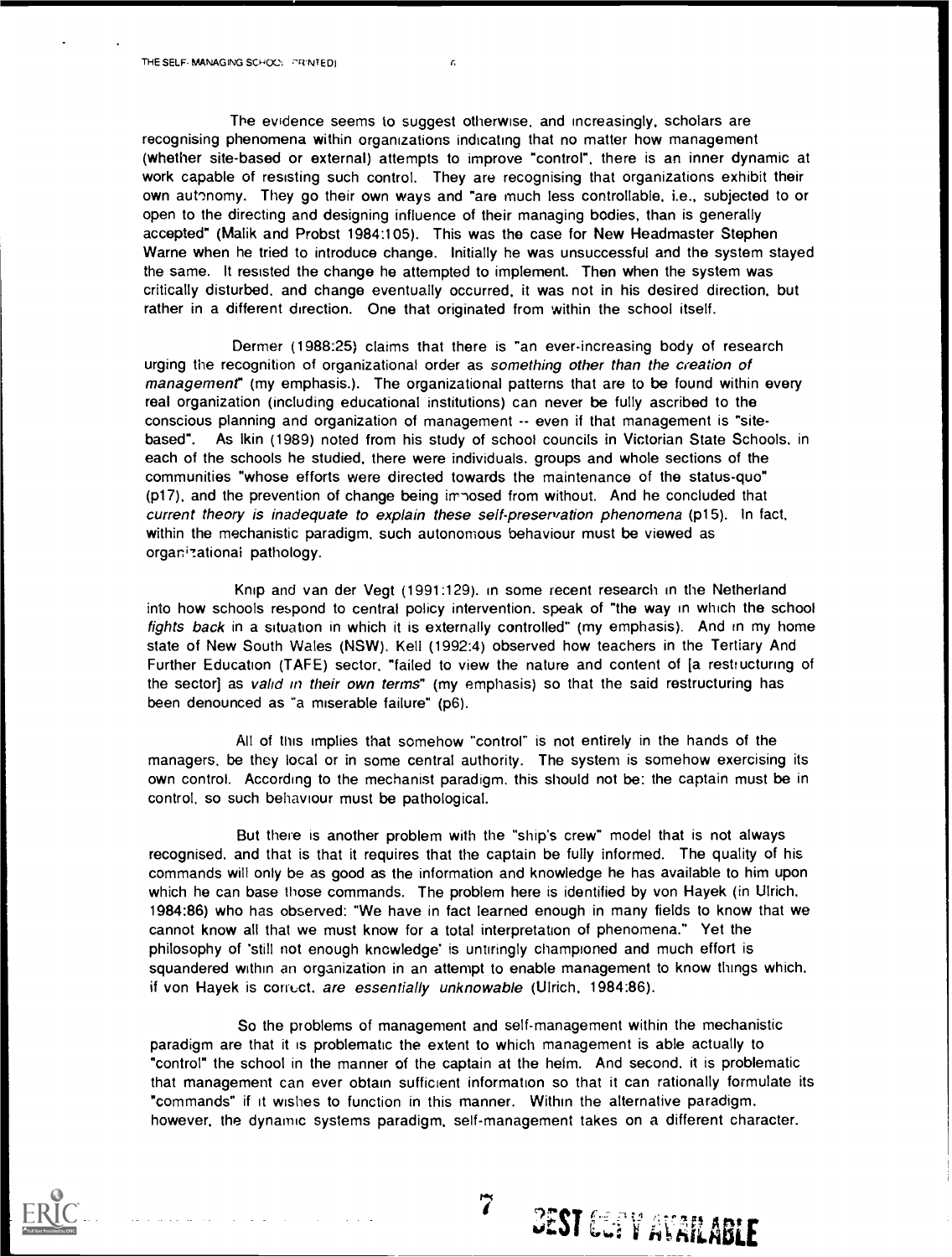The evidence seems to suggest otherwise, and increasingly, scholars are recognising phenomena within organizations indicating that no matter how management (whether site-based or external) attempts to improve "control", there is an inner dynamic at work capable of resisting such control. They are recognising that organizations exhibit their own aut'nomy. They go their own ways and "are much less controllable, i.e., subjected to or open to the directing and designing influence of their managing bodies, than is generally accepted" (Malik and Probst 1984:105). This was the case for New Headmaster Stephen Warne when he tried to introduce change. Initially he was unsuccessful and the system stayed the same. It resisted the change he attempted to implement. Then when the system was critically disturbed, and change eventually occurred, it was not in his desired direction, but rather in a different direction. One that originated from within the school itself.

ń,

Dermer (1988:25) claims that there is "an ever-increasing body of research urging the recognition of organizational order as something other than the creation of management" (my emphasis.). The organizational patterns that are to be found within every real organization (including educational institutions) can never be fully ascribed to the conscious planning and organization of management -- even if that management is "sitebased". As lkin (1989) noted from his study of school councils in Victorian State Schools. in each of the schools he studied, there were individuals, groups and whole sections of the communities "whose efforts were directed towards the maintenance of the status-quo" (p17), and the prevention of change being irr "osed from without. And he concluded that current theory is inadequate to explain these self-preservation phenomena (p15). In fact, within the mechanistic paradigm, such autonomous behaviour must be viewed as organizational pathology.

Knip and van der Vegt (1991:129). in some recent research in the Netherland into how schools respond to central policy intervention, speak of "the way in which the school fights back in a situation in which it is externally controlled" (my emphasis). And in my home state of New South Wales (NSW), Kell (1992:4) observed how teachers in the Tertiary And Further Education (TAFE) sector, "failed to view the nature and content of [a restructuring of the sector] as valid in their own terms" (my emphasis) so that the said restructuring has been denounced as "a miserable failure" (p6).

All of this implies that somehow "control" is not entirely in the hands of the managers, be they local or in some central authority. The system is somehow exercising its own control. According to the mechanist paradigm. this should not be: the captain must be in control, so such behaviour must be pathological.

But there is another problem with the "ship's crew" model that is not always recognised, and that is that it requires that the captain be fully informed. The quality of his commands will only be as good as the information and knowledge he has available to him upon which he can base those commands. The problem here is identified by von Hayek (in Ulrich, 1984:86) who has observed: "We have in fact learned enough in many fields to know that we cannot know all that we must know for a total interpretation of phenomena." Yet the philosophy of 'still not enough knowledge' is untiringly championed and much effort is squandered within an organization in an attempt to enable management to know things which, if von Hayek is correct, are essentially unknowable (Ulrich, 1984:86).

So the problems of management and self-management within the mechanistic paradigm are that it is problematic the extent to which management is able actually to "control" the school in the manner of the captain at the helm. And second, it is problematic that management can ever obtain sufficient information so that it can rationally formulate its "commands" if it wishes to function in this manner. Within the alternative paradigm, however, the dynamic systems paradigm, self-management takes on a different character.

 $7-\gamma_{\rm E}$ 

west Gue V Avrilable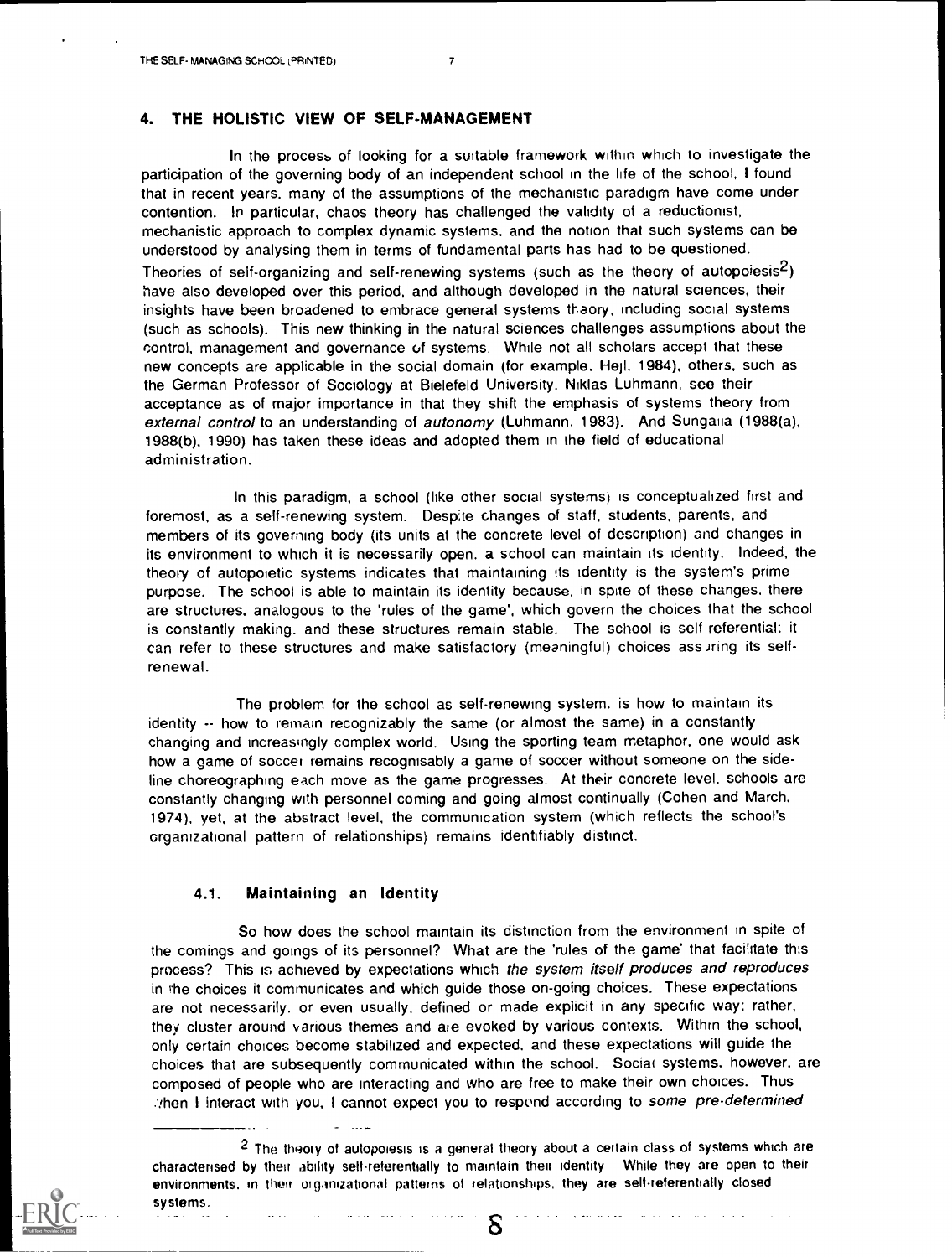## 4. THE HOLISTIC VIEW OF SELF-MANAGEMENT

In the process of looking for a suitable framework within which to investigate the participation of the governing body of an independent school in the life of the school, I found that in recent years, many of the assumptions of the mechanistic paradigm have come under contention. In particular, chaos theory has challenged the validity of a reductionist, mechanistic approach to complex dynamic systems, and the notion that such systems can be understood by analysing them in terms of fundamental parts has had to be questioned. Theories of self-organizing and self-renewing systems (such as the theory of autopoiesis<sup>2</sup>) have also developed over this period, and although developed in the natural sciences, their insights have been broadened to embrace general systems theory, including social systems (such as schools). This new thinking in the natural sciences challenges assumptions about the control, management and governance of systems. While not all scholars accept that these new concepts are applicable in the social domain (for example. Heil, 1984), others, such as the German Professor of Sociology at Bielefeld University. Niklas Luhmann, see their acceptance as of major importance in that they shift the emphasis of systems theory from external control to an understanding of autonomy (Luhmann, 1983). And Sungalia (1988(a), 1988(b), 1990) has taken these ideas and adopted them in the field of educational administration.

In this paradigm, a school (like other social systems) is conceptualized first and foremost, as a self-renewing system. Desp;te changes of staff, students, parents, and members of its governing body (its units at the concrete level of description) and changes in its environment to which it is necessarily open. a school can maintain its identity. Indeed, the theory of autopoietic systems indicates that maintaining !ts identity is the system's prime purpose. The school is able to maintain its identity because, in spite of these changes. there are structures, analogous to the 'rules of the game', which govern the choices that the school is constantly making. and these structures remain stable. The school is self-referential: it can refer to these structures and make satisfactory (meaningful) choices ass ring its selfrenewal.

The problem for the school as self-renewing system. is how to maintain its identity -- how to remain recognizably the same (or almost the same) in a constantly changing and increasingly complex world. Using the sporting team metaphor, one would ask how a game of soccer remains recognisably a game of soccer without someone on the sideline choreographing each move as the game progresses. At their concrete level, schools are constantly changing with personnel coming and going almost continually (Cohen and March, 1974), yet, at the abstract level, the communication system (which reflects the school's organizational pattern of relationships) remains identifiably distinct.

#### 4.1. Maintaining an Identity

So how does the school maintain its distinction from the environment in spite of the comings and goings of its personnel? What are the 'rules of the game' that facilitate this process? This is achieved by expectations which the system itself produces and reproduces in the choices it communicates and which guide those on-going choices. These expectations are not necessarily, or even usually, defined or made explicit in any specific way: rather, they cluster around various themes and are evoked by various contexts. Within the school, only certain choices become stabilized and expected. and these expectations will guide the choices that are subsequently communicated within the school. Social systems, however, are composed of people who are interacting and who are free to make their own choices. Thus then I interact with you, I cannot expect you to respond according to some pre-determined

2 The theory of autopoiesis is a general theory about a certain class of systems which are characterised by their ability self-referentially to maintain their identity While they are open to their environments, in their organizational patterns of relationships, they are self-referentially closed systems.

δ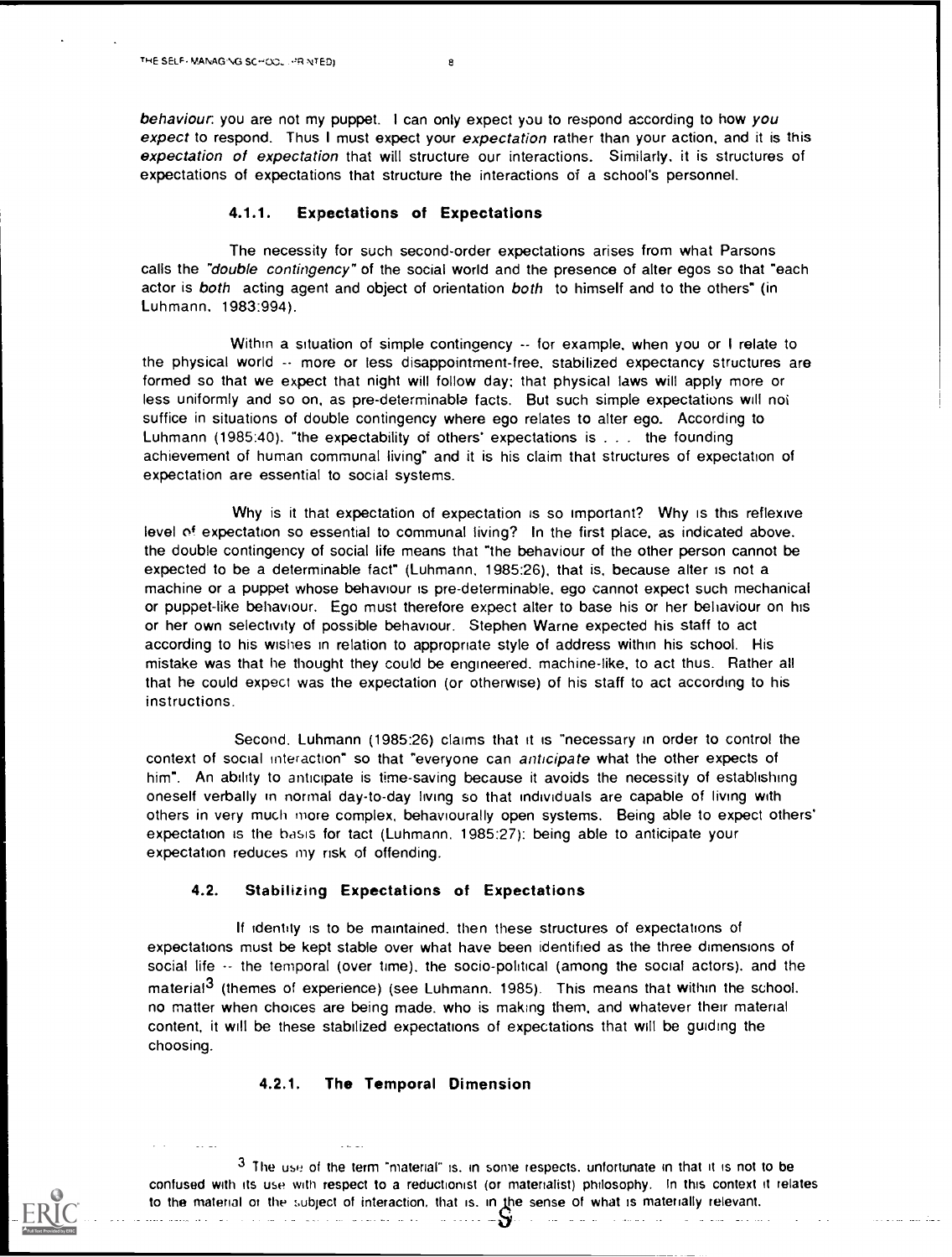behaviour: you are not my puppet. I can only expect you to respond according to how you expect to respond. Thus I must expect your expectation rather than your action, and it is this expectation of expectation that will structure our interactions. Similarly. it is structures of expectations of expectations that structure the interactions of a school's personnel.

#### 4.1.1. Expectations of Expectations

The necessity for such second-order expectations arises from what Parsons calls the "double contingency" of the social world and the presence of alter egos so that "each actor is both acting agent and object of orientation both to himself and to the others" (in Luhmann, 1983:994).

Within a situation of simple contingency  $\sim$  for example, when you or I relate to the physical world -- more or less disappointment-free, stabilized expectancy structures are formed so that we expect that night will follow day: that physical laws will apply more or less uniformly and so on. as pre-determinable facts. But such simple expectations will not suffice in situations of double contingency where ego relates to alter ego. According to Luhmann (1985:40). "the expectability of others' expectations is . . . the founding achievement of human communal living" and it is his claim that structures of expectation of expectation are essential to social systems.

Why is it that expectation of expectation is so important? Why is this reflexive level of expectation so essential to communal living? In the first place, as indicated above. the double contingency of social life means that "the behaviour of the other person cannot be expected to be a determinable fact" (Luhmann. 1985:26), that is, because alter is not a machine or a puppet whose behaviour is pre-determinable, ego cannot expect such mechanical or puppet-like behaviour. Ego must therefore expect alter to base his or her behaviour on his or her own selectivity of possible behaviour. Stephen Warne expected his staff to act according to his wishes in relation to appropriate style of address within his school. His mistake was that he thought they could be engineered. machine-like, to act thus. Rather all that he could expect was the expectation (or otherwise) of his staff to act according to his instructions.

Second. Luhmann (1985:26) claims that it is "necessary in order to control the context of social interaction" so that "everyone can anticipate what the other expects of him". An ability to anticipate is time-saving because it avoids the necessity of establishing oneself verbally in normal day-to-day living so that individuals are capable of living with others in very much more complex, behaviourally open systems. Being able to expect others' expectation is the basis for tact (Luhmann. 1985:27): being able to anticipate your expectation reduces my risk of offending.

#### 4.2. Stabilizing Expectations of Expectations

If identity is to be maintained, then these structures of expectations of expectations must be kept stable over what have been identified as the three dimensions of social life -- the temporal (over time), the socio-political (among the social actors), and the material<sup>3</sup> (themes of experience) (see Luhmann. 1985). This means that within the school. no matter when choices are being made. who is making them, and whatever their material content, it will be these stabilized expectations of expectations that will be guiding the choosing.

# 4.2.1. The Temporal Dimension

3 The use of the term "material" is. in some respects. unfortunate in that it is not to be confused with its use with respect to a reductionist (or materialist) philosophy. In this context it relates to the material or the subject of interaction, that is, in the sense of what is materially relevant.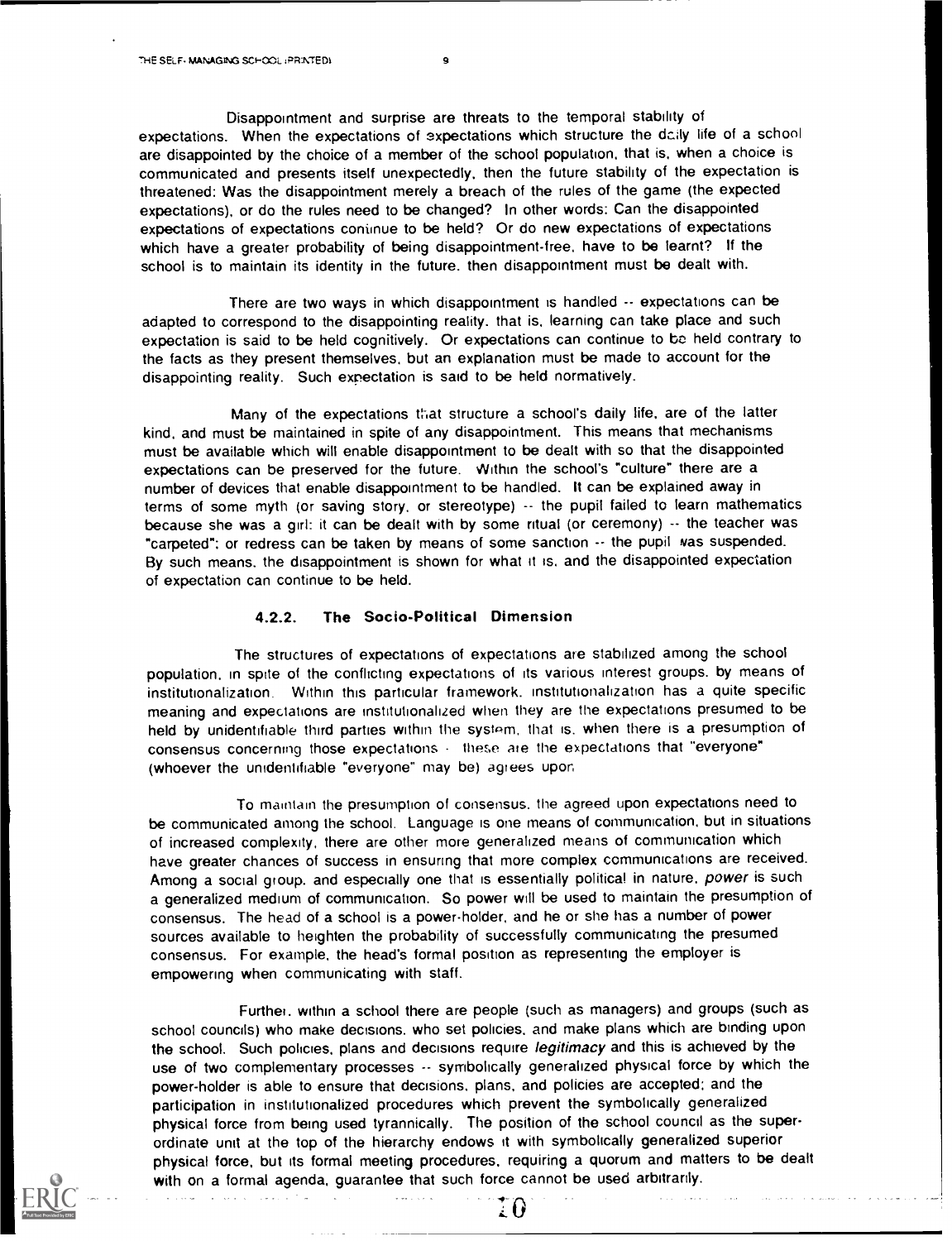Disappointment and surprise are threats to the temporal stability of expectations. When the expectations of expectations which structure the daily life of a school are disappointed by the choice of a member of the school population. that is, when a choice is communicated and presents itself unexpectedly, then the future stability of the expectation is threatened: Was the disappointment merely a breach of the rules of the game (the expected expectations), or do the rules need to be changed? In other words: Can the disappointed expectations of expectations coniinue to be held? Or do new expectations of expectations which have a greater probability of being disappointment-free, have to be learnt? If the school is to maintain its identity in the future. then disappointment must be dealt with.

There are two ways in which disappointment is handled -- expectations can be adapted to correspond to the disappointing reality. that is. learning can take place and such expectation is said to be held cognitively. Or expectations can continue to be held contrary to the facts as they present themselves, but an explanation must be made to account for the disappointing reality. Such expectation is said to be held normatively.

Many of the expectations that structure a school's daily life, are of the latter kind, and must be maintained in spite of any disappointment. This means that mechanisms must be available which will enable disappointment to be dealt with so that the disappointed expectations can be preserved for the future. Within the school's "culture" there are a number of devices that enable disappointment to be handled. It can be explained away in terms of some myth (or saving story, or stereotype) -- the pupil failed to learn mathematics because she was a girl: it can be dealt with by some ritual (or ceremony) -- the teacher was "carpeted": or redress can be taken by means of some sanction -- the pupil was suspended. By such means. the disappointment is shown for what it is. and the disappointed expectation of expectation can continue to be held.

## 4.2.2. The Socio-Political Dimension

The structures of expectations of expectations are stabilized among the school population. in spite of the conflicting expectations of its various interest groups. by means of institutionalization. Within this particular framework, institutionalization has a quite specific meaning and expectations are institutionalized when they are the expectations presumed to be held by unidentifiable third parties within the system, that is. when there is a presumption of consensus concerning those expectations - these are the expectations that "everyone" (whoever the unidentifiable "everyone" may be) agrees upor,

To maintain the presumption of consensus. the agreed upon expectations need to be communicated among the school. Language is one means of communication, but in situations of increased complexity, there are other more generalized means of communication which have greater chances of success in ensuring that more complex communications are received. Among a social group, and especially one that is essentially political in nature, power is such a generalized medium of communication. So power will be used to maintain the presumption of consensus. The head of a school is a power-holder, and he or she has a number of power sources available to heighten the probability of successfully communicating the presumed consensus. For example, the head's formal position as representing the employer is empowering when communicating with staff.

Further. within a school there are people (such as managers) and groups (such as school councils) who make decisions. who set policies, and make plans which are binding upon the school. Such policies, plans and decisions require legitimacy and this is achieved by the use of two complementary processes -- symbolically generalized physical force by which the power-holder is able to ensure that decisions, plans, and policies are accepted: and the participation in institutionalized procedures which prevent the symbolically generalized physical force from being used tyrannically. The position of the school council as the superordinate unit at the top of the hierarchy endows it with symbolically generalized superior physical force, but its formal meeting procedures, requiring a quorum and matters to be dealt with on a formal agenda, guarantee that such force cannot be used arbitrarily.

. .

a de la carac

as an India

 $\sim 10^{-1}$ 

I O

and states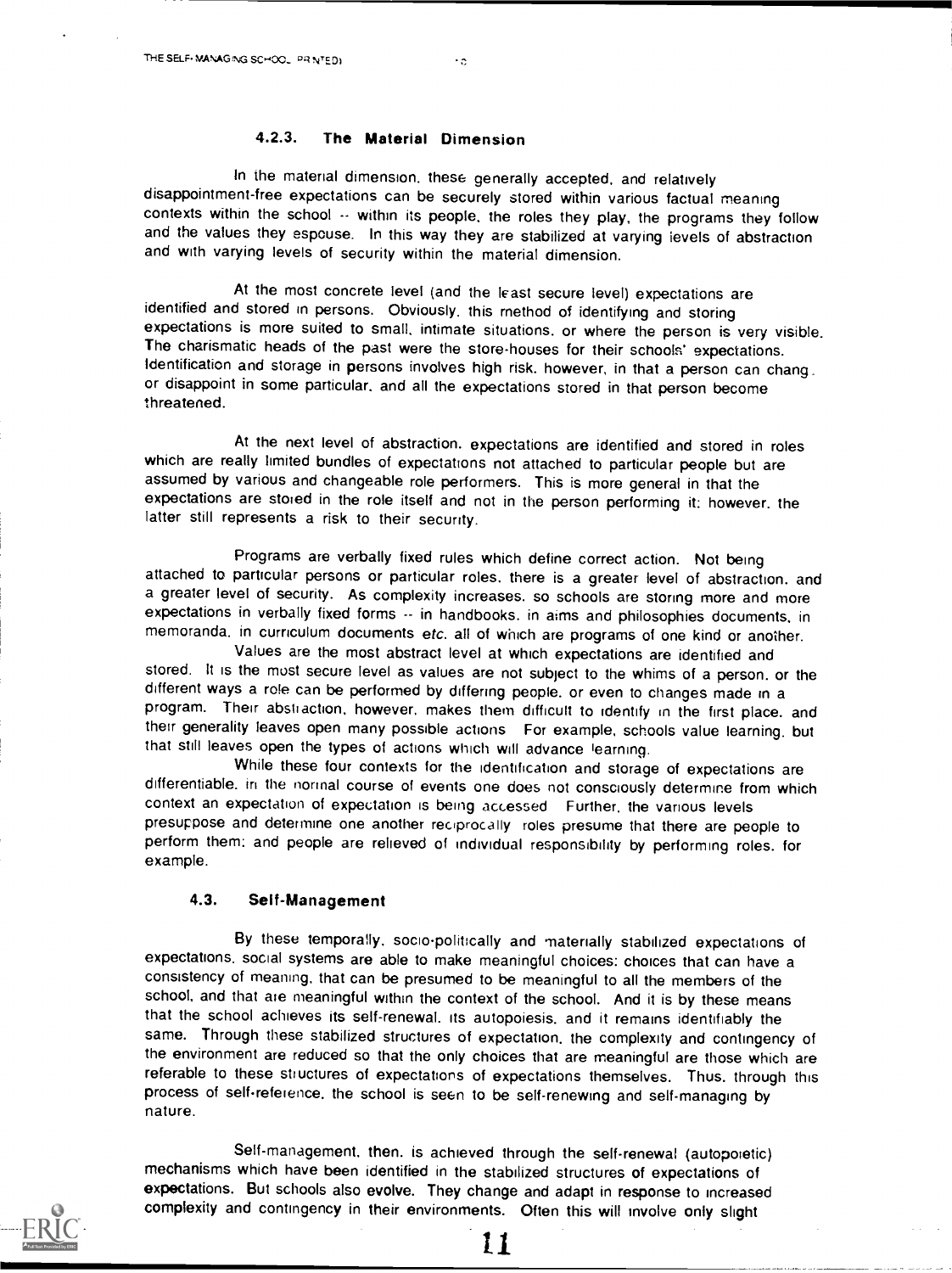In the material dimension, these generally accepted. and relatively disappointment-free expectations can be securely stored within various factual meaning contexts within the school  $\cdots$  within its people, the roles they play, the programs they follow and the values they espouse. In this way they are stabilized at varying levels of abstraction and with varying levels of security within the material dimension.

 $\cdot$ .

At the most concrete level (and the least secure level) expectations are identified and stored in persons. Obviously, this method of identifying and storing expectations is more suited to small, intimate situations, or where the person is very visible. The charismatic heads of the past were the store-houses for their schools' expectations. Identification and storage in persons involves high risk. however, in that a person can chang. or disappoint in some particular. and all the expectations stored in that person become threatened.

At the next level of abstraction. expectations are identified and stored in roles which are really limited bundles of expectations not attached to particular people but are assumed by various and changeable role performers. This is more general in that the expectations are stored in the role itself and not in the person performing it: however, the latter still represents a risk to their security.

Programs are verbally fixed rules which define correct action. Not being attached to particular persons or particular roles. there is a greater level of abstraction. and a greater level of security. As complexity increases. so schools are storing more and more expectations in verbally fixed forms  $\cdots$  in handbooks. in aims and philosophies documents, in memoranda. in curriculum documents etc. all of which are programs of one kind or another.

Values are the most abstract level at which expectations are identified and stored. It is the most secure level as values are not subject to the whims of a person. or the different ways a role can be performed by differing people. or even to changes made in a program. Their abstraction. however, makes them difficult to identify in the first place. and their generality leaves open many possible actions For example, schools value learning, but that still leaves open the types of actions which will advance learning.

While these four contexts for the identification and storage of expectations are differentiable, in the normal course of events one does not consciously determine from which context an expectation of expectation is being accessed Further. the various levels presuppose and determine one another reciprocally roles presume that there are people to perform them: and people are relieved of individual responsibility by performing roles, for example.

## 4.3. Self-Management

By these temporally, socio-politically and materially stabilized expectations of expectations. social systems are able to make meaningful choices: choices that can have a consistency of meaning. that can be presumed to be meaningful to all the members of the school, and that are meaningful within the context of the school. And it is by these means that the school achieves its self-renewal, its autopoiesis. and it remains identifiably the same. Through these stabilized structures of expectation. the complexity and contingency of the environment are reduced so that the only choices that are meaningful are those which are referable to these structures of expectations of expectations themselves. Thus. through this process of self-refeience, the school is seen to be self-renewing and self-managing by nature.

Self-management, then, is achieved through the self-renewal (autopoietic) mechanisms which have been identified in the stabilized structures of expectations of expectations. But schools also evolve. They change and adapt in response to increased complexity and contingency in their environments. Often this will involve only slight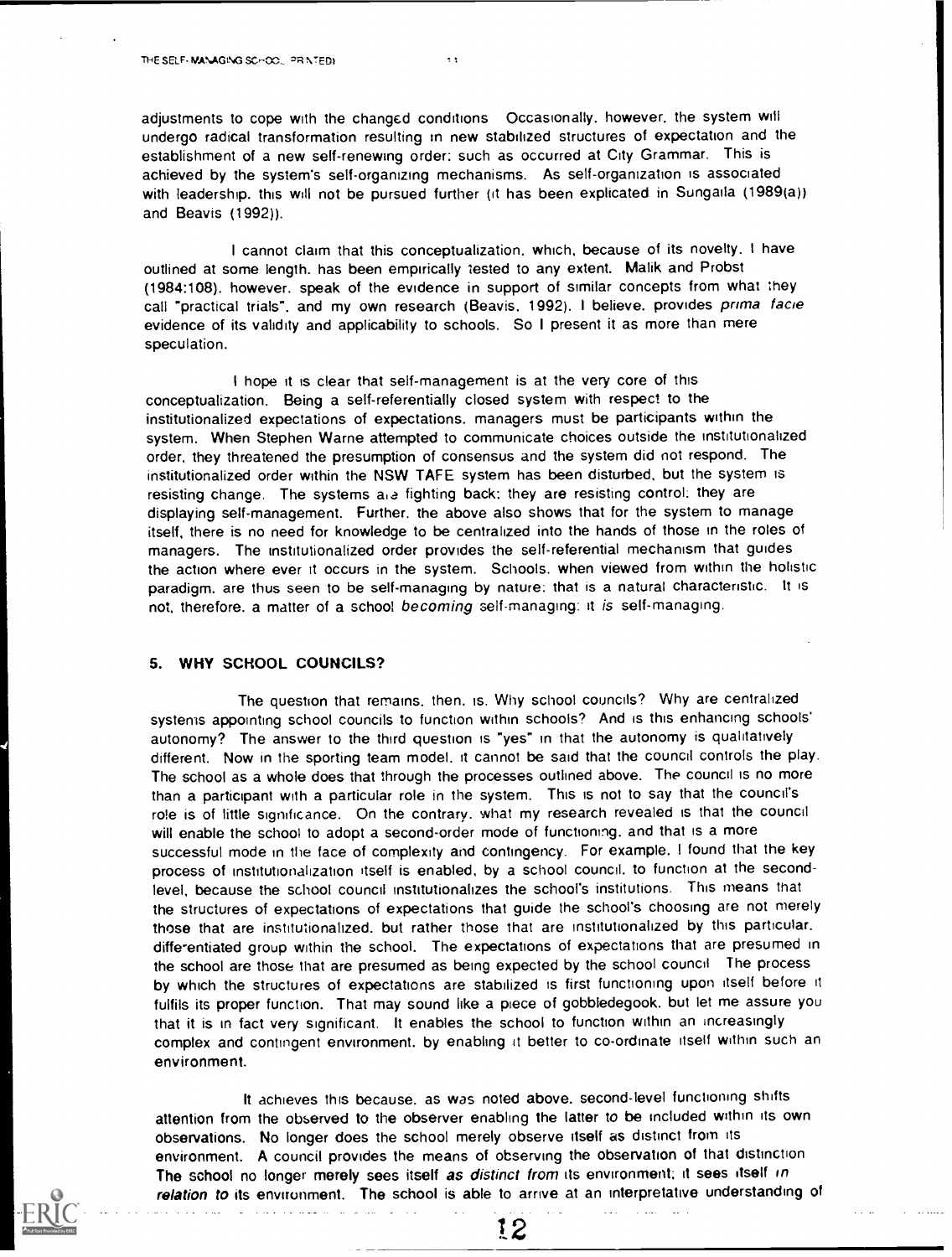adjustments to cope with the changed conditions Occasionally. however, the system will undergo radical transformation resulting in new stabilized structures of expectation and the establishment of a new self-renewing order: such as occurred at City Grammar. This is achieved by the system's self-organizing mechanisms. As self-organization is associated with leadership. this will not be pursued further (it has been explicated in Sungaila (1989(a)) and Beavis (1992)).

I cannot claim that this conceptualization. which, because of its novelty. I have outlined at some length. has been empirically tested to any extent. Malik and Probst (1984:108). however. speak of the evidence in support of similar concepts from what they call "practical trials". and my own research (Beavis, 1992). I believe. provides prima facie evidence of its validity and applicability to schools. So I present it as more than mere speculation.

I hope it is clear that self-management is at the very core of this conceptualization. Being a self-referentially closed system with respect to the institutionalized expectations of expectations. managers must be participants within the system. When Stephen Warne attempted to communicate choices outside the institutionalized order, they threatened the presumption of consensus and the system did not respond. The institutionalized order within the NSW TAFE system has been disturbed, but the system is resisting change. The systems aia fighting back: they are resisting control: they are displaying self-management. Further. the above also shows that for the system to manage itself, there is no need for knowledge to be centralized into the hands of those in the roles of managers. The institutionalized order provides the self-referential mechanism that guides the action where ever it occurs in the system. Schools. when viewed from within the holistic paradigm, are thus seen to be self-managing by nature: that is a natural characteristic. It is not, therefore. a matter of a school becoming self-managing: it is self-managing.

#### 5. WHY SCHOOL COUNCILS?

The question that remains. then. is. Why school councils? Why are centralized systems appointing school councils to function within schools? And is this enhancing schools' autonomy? The answer to the third question is "yes" in that the autonomy is qualitatively different. Now in the sporting team model. it cannot be said that the council controls the play. The school as a whole does that through the processes outlined above. The council is no more than a participant with a particular role in the system. This is not to say that the council's role is of little significance. On the contrary. what my research revealed is that the council will enable the school to adopt a second-order mode of functioning. and that is a more successful mode in the face of complexity and contingency. For example. I found that the key process of institutionalization itself is enabled, by a school council, to function at the secondlevel, because the school council institutionalizes the school's institutions. This means that the structures of expectations of expectations that guide the school's choosing are not merely those that are institutionalized, but rather those that are institutionalized by this particular. diffe'entiated group within the school. The expectations of expectations that are presumed in the school are those that are presumed as being expected by the school council The process by which the structures of expectations are stabilized is first functioning upon itself before it fulfils its proper function. That may sound like a piece of gobbledegook. but let me assure you that it is in fact very significant. It enables the school to function within an increasingly complex and contingent environment. by enabling it better to co-ordinate itself within such an environment.

It achieves this because, as was noted above. second-level functioning shifts attention from the observed to the observer enabling the latter to be included within its own observations. No longer does the school merely observe itself as distinct from its environment. A council provides the means of observing the observation of that distinction The school no longer merely sees itself as distinct from its environment; it sees itself in relation to its environment. The school is able to arrive at an interpretative understanding of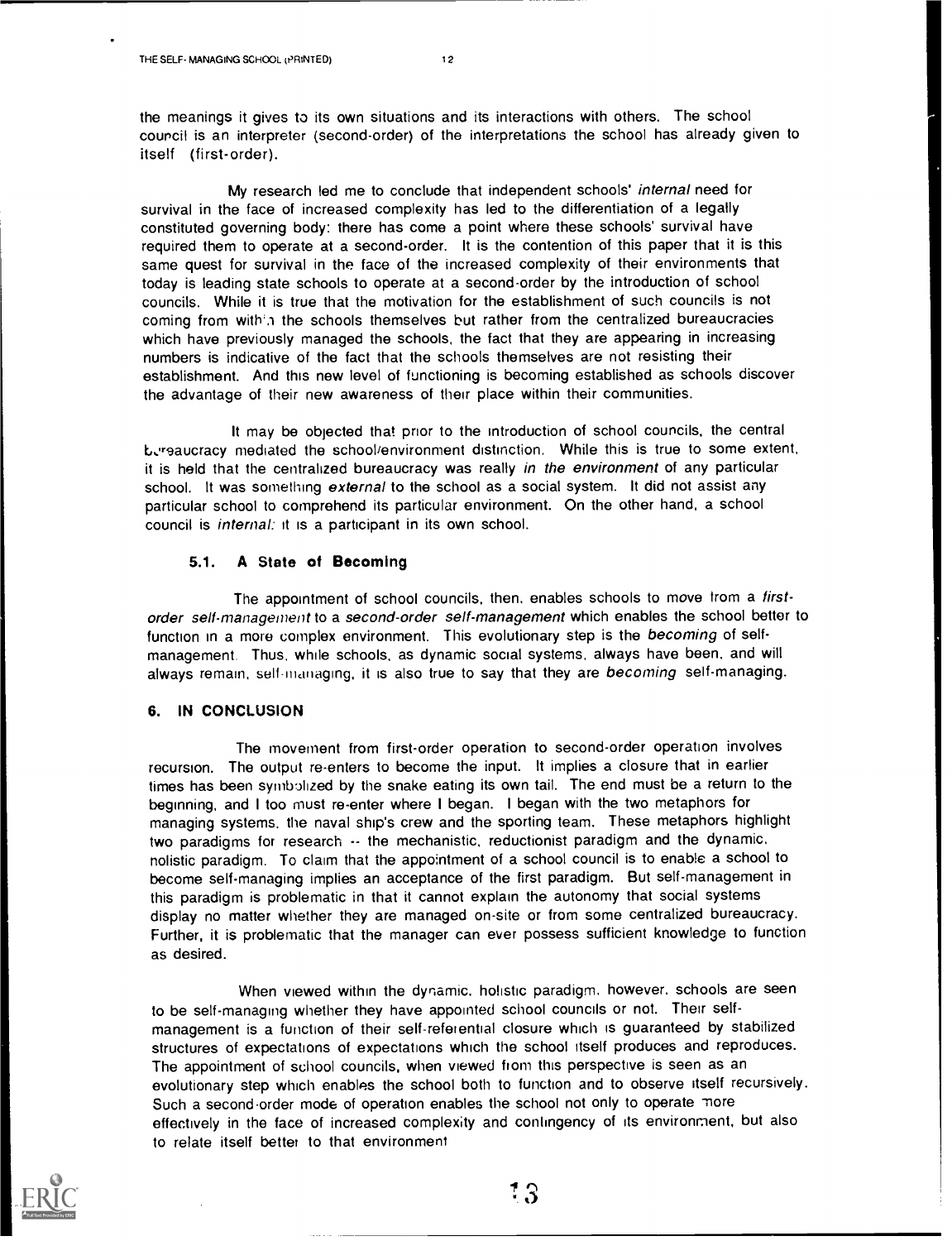the meanings it gives to its own situations and its interactions with others. The school council is an interpreter (second-order) of the interpretations the school has already given to itself (first-order).

My research led me to conclude that independent schools' internal need for survival in the face of increased complexity has led to the differentiation of a legally constituted governing body: there has come a point where these schools' survival have required them to operate at a second-order. It is the contention of this paper that it is this same quest for survival in the face of the increased complexity of their environments that today is leading state schools to operate at a second-order by the introduction of school councils. While it is true that the motivation for the establishment of such councils is not coming from with'n the schools themselves but rather from the centralized bureaucracies which have previously managed the schools, the fact that they are appearing in increasing numbers is indicative of the fact that the schools themselves are not resisting their establishment. And this new level of functioning is becoming established as schools discover the advantage of their new awareness of their place within their communities.

It may be objected that prior to the introduction of school councils, the central L...reaucracy mediated the school/environment distinction. While this is true to some extent, it is held that the centralized bureaucracy was really in the environment of any particular school. It was something external to the school as a social system. It did not assist any particular school to comprehend its particular environment. On the other hand, a school council is internal: it is a participant in its own school.

#### 5.1. A State of Becoming

The appointment of school councils, then, enables schools to move from a firstorder self-management to a second-order self-management which enables the school better to function in a more complex environment. This evolutionary step is the becoming of selfmanagement. Thus, while schools, as dynamic social systems, always have been, and will always remain, self-managing, it is also true to say that they are becoming self-managing.

### 6. IN CONCLUSION

The movement from first-order operation to second-order operation involves recursion. The output re-enters to become the input. It implies a closure that in earlier times has been symbolized by the snake eating its own tail. The end must be a return to the beginning, and I too must re-enter where I began. I began with the two metaphors for managing systems, the naval ship's crew and the sporting team. These metaphors highlight two paradigms for research  $\cdot$ - the mechanistic, reductionist paradigm and the dynamic. holistic paradigm. To claim that the appointment of a school council is to enable a school to become self-managing implies an acceptance of the first paradigm. But self-management in this paradigm is problematic in that it cannot explain the autonomy that social systems display no matter whether they are managed on-site or from some centralized bureaucracy. Further, it is problematic that the manager can ever possess sufficient knowledge to function as desired.

When viewed within the dynamic, holistic paradigm. however, schools are seen to be self-managing whether they have appointed school councils or not. Their selfmanagement is a function of their self-referential closure which is guaranteed by stabilized structures of expectations of expectations which the school itself produces and reproduces. The appointment of school councils, when viewed horn this perspective is seen as an evolutionary step which enables the school both to function and to observe itself recursively. Such a second-order mode of operation enables the school not only to operate more effectively in the face of increased complexity and contingency of its environment, but also to relate itself better to that environment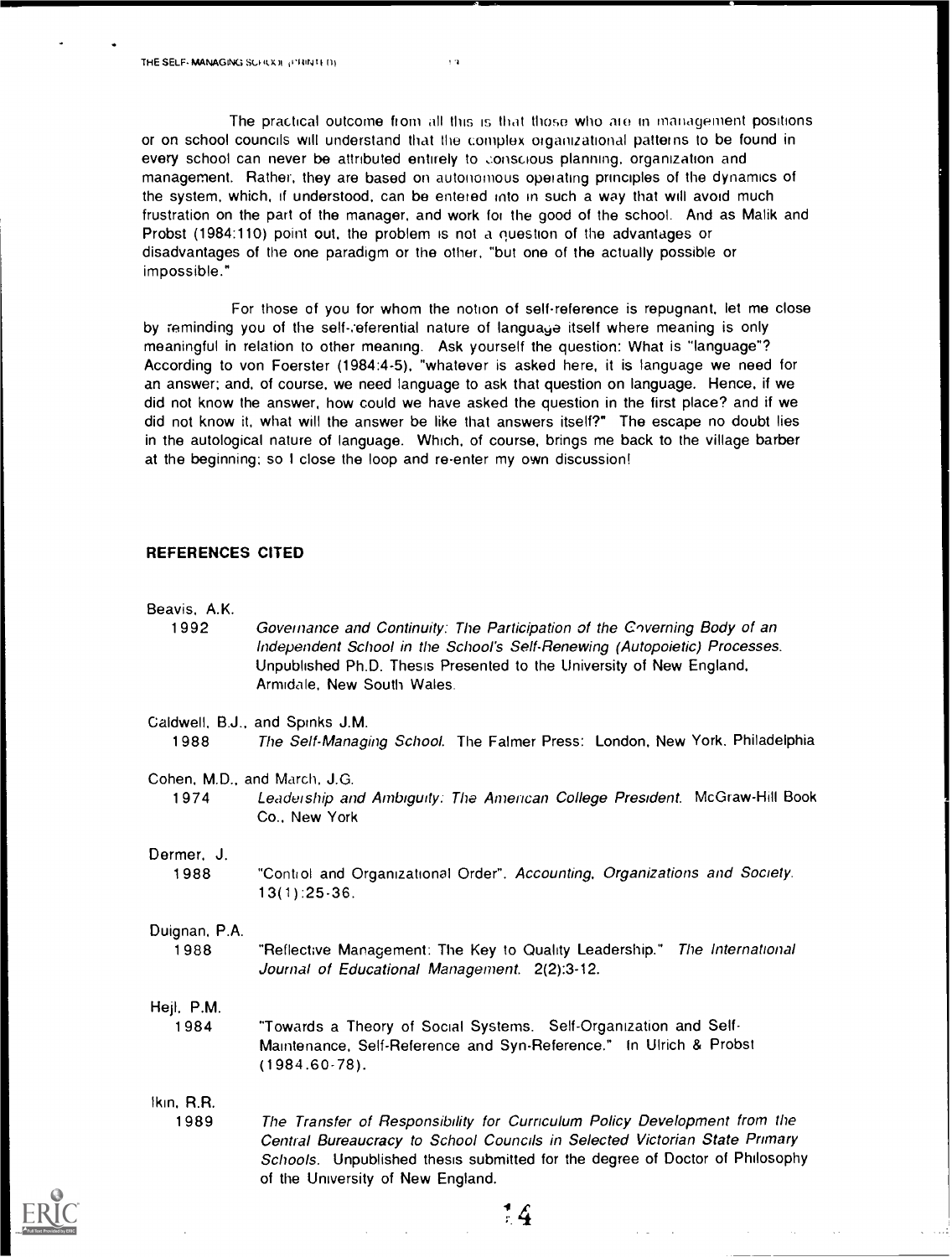The practical outcome from all this is that those who ate in management positions or on school councils will understand that the complex organizational patterns to be found in every school can never be attributed entirely to conscious planning, organization and management. Rather, they are based on autonomous operating principles of the dynamics of the system, which, if understood, can be entered into in such a way that will avoid much frustration on the part of the manager, and work for the good of the school. And as Malik and Probst (1984:110) point out, the problem is not a question of the advantages or disadvantages of the one paradigm or the other, "but one of the actually possible or impossible."

÷,

For those of you for whom the notion of self-reference is repugnant, let me close by reminding you of the self-referential nature of language itself where meaning is only meaningful in relation to other meaning. Ask yourself the question: What is "language"? According to von Foerster (1984:4-5), "whatever is asked here, it is language we need for an answer; and, of course, we need language to ask that question on language. Hence, if we did not know the answer, how could we have asked the question in the first place? and if we did not know it, what will the answer be like that answers itself?" The escape no doubt lies in the autological nature of language. Which, of course, brings me back to the village barber at the beginning; so I close the loop and re-enter my own discussion!

# REFERENCES CITED

| Beavis, A.K.<br>1992                 | Governance and Continuity. The Participation of the Coverning Body of an<br>Independent School in the School's Self-Renewing (Autopoietic) Processes.<br>Unpublished Ph.D. Thesis Presented to the University of New England,<br>Armidale, New South Wales. |
|--------------------------------------|-------------------------------------------------------------------------------------------------------------------------------------------------------------------------------------------------------------------------------------------------------------|
| 1988                                 | Caldwell, B.J., and Spinks J.M.<br>The Self-Managing School. The Falmer Press: London, New York, Philadelphia                                                                                                                                               |
| Cohen, M.D., and March, J.G.<br>1974 | Leadership and Ambiguity: The American College President. McGraw-Hill Book<br>Co., New York                                                                                                                                                                 |
| Dermer, J.<br>1988                   | "Control and Organizational Order". Accounting, Organizations and Society.<br>$13(1)$ : 25 - 36.                                                                                                                                                            |
| Duignan, P.A.<br>1988                | "Reflective Management: The Key to Quality Leadership." The International<br>Journal of Educational Management. 2(2):3-12.                                                                                                                                  |
| Hejl, P.M.<br>1984                   | "Towards a Theory of Social Systems. Self-Organization and Self-<br>Maintenance, Self-Reference and Syn-Reference." In Ulrich & Probst<br>$(1984.60-78)$ .                                                                                                  |
| Ikin, R.R.<br>1989                   | The Transfer of Responsibility for Curriculum Policy Development from the<br>Central Bureaucracy to School Councils in Selected Victorian State Primary<br>Schools. Unpublished thesis submitted for the degree of Doctor of Philosophy                     |

 $\frac{4}{7}$ 

of the University of New England.

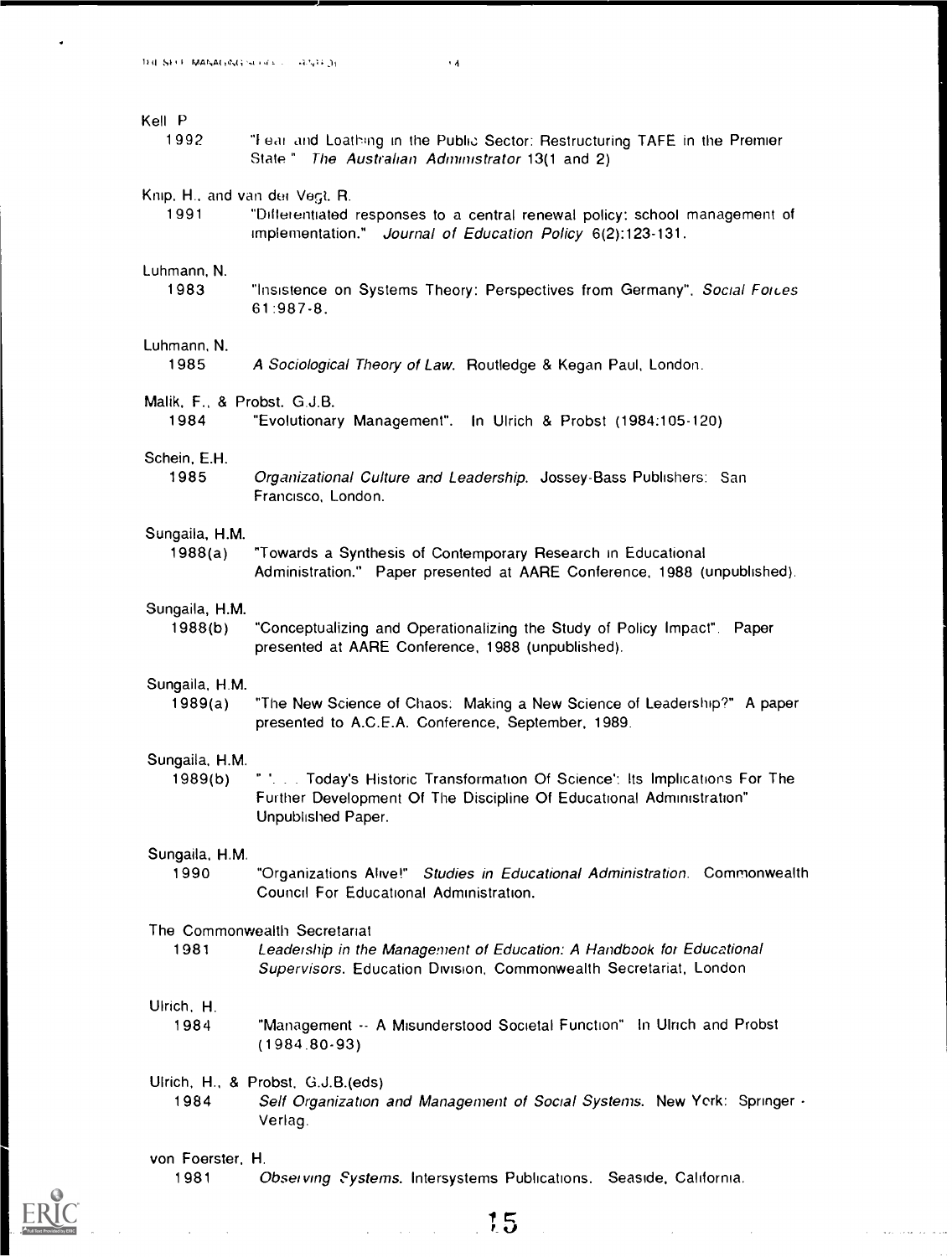$\ddot{\phantom{0}}$ 

| Kell P                              |                                                                                                                                                                            |
|-------------------------------------|----------------------------------------------------------------------------------------------------------------------------------------------------------------------------|
| 1992                                | "Fear and Loathing in the Public Sector: Restructuring TAFE in the Premier<br>State" The Australian Administrator 13(1 and 2)                                              |
| Knip, H., and van der Vegt. R.      | "Differentiated responses to a central renewal policy: school management of                                                                                                |
| 1991                                | Implementation." Journal of Education Policy 6(2):123-131.                                                                                                                 |
| Luhmann, N.                         | "Insistence on Systems Theory: Perspectives from Germany", Social Foices                                                                                                   |
| 1983                                | 61:987-8.                                                                                                                                                                  |
| Luhmann, N.<br>1985                 | A Sociological Theory of Law. Routledge & Kegan Paul, London.                                                                                                              |
| Malik, F., & Probst. G.J.B.<br>1984 | "Evolutionary Management". In Ulrich & Probst (1984:105-120)                                                                                                               |
| Schein, E.H.                        | Organizational Culture and Leadership. Jossey-Bass Publishers: San                                                                                                         |
| 1985                                | Francisco, London.                                                                                                                                                         |
| Sungaila, H.M.                      | "Towards a Synthesis of Contemporary Research in Educational                                                                                                               |
| 1988(a)                             | Administration." Paper presented at AARE Conference, 1988 (unpublished).                                                                                                   |
| Sungaila, H.M.                      | "Conceptualizing and Operationalizing the Study of Policy Impact". Paper                                                                                                   |
| 1988(b)                             | presented at AARE Conference, 1988 (unpublished).                                                                                                                          |
| Sungaila, H.M.                      | "The New Science of Chaos: Making a New Science of Leadership?" A paper                                                                                                    |
| 1989(a)                             | presented to A.C.E.A. Conference, September, 1989.                                                                                                                         |
| Sungaila, H.M.<br>1989(b)           | " ' Today's Historic Transformation Of Science': Its Implications For The<br>Further Development Of The Discipline Of Educational Administration"<br>Unpublished Paper.    |
| Sungaila, H.M.                      | "Organizations Alive!" Studies in Educational Administration. Commonwealth                                                                                                 |
| 1990                                | Council For Educational Administration.                                                                                                                                    |
| 1981                                | The Commonwealth Secretariat<br>Leadership in the Management of Education: A Handbook for Educational<br>Supervisors. Education Division, Commonwealth Secretariat, London |
| Ulrich, H.                          | "Management -- A Misunderstood Societal Function" In Ulrich and Probst                                                                                                     |
| 1984                                | $(1984.80-93)$                                                                                                                                                             |
| 1984                                | Ulrich, H., & Probst, G.J.B.(eds)<br>Self Organization and Management of Social Systems. New York: Springer -<br>Verlag.                                                   |
| von Foerster, H.                    |                                                                                                                                                                            |



 $\Delta \phi = \sqrt{2}$ 

1981 Observing Systems. Intersystems Publications. Seaside, California.

 $\label{eq:2.1} \frac{1}{\sqrt{2}}\int_{\mathbb{R}^3} \left|\frac{d\mathbf{x}}{d\mathbf{x}}\right|^2 \, d\mathbf{x} \, d\mathbf{x} \, d\mathbf{x} \, d\mathbf{x} \, d\mathbf{x} \, d\mathbf{x} \, d\mathbf{x} \, d\mathbf{x} \, d\mathbf{x} \, d\mathbf{x} \, d\mathbf{x} \, d\mathbf{x} \, d\mathbf{x} \, d\mathbf{x} \, d\mathbf{x} \, d\mathbf{x} \, d\mathbf{x} \, d\mathbf{x} \, d\mathbf{x} \, d\mathbf{x} \, d\mathbf{x$ 

 $\hat{\phi}$  , and the constraint